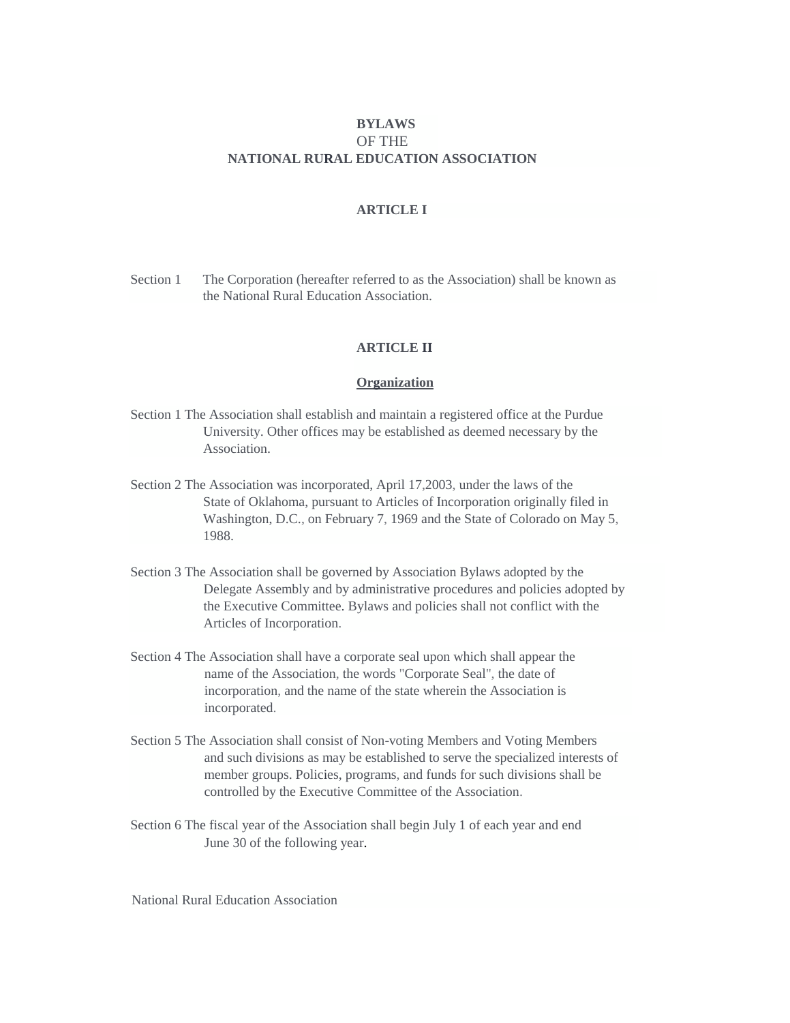# **BYLAWS**  OF THE **NATIONAL RURAL EDUCATION ASSOCIATION**

# **ARTICLE I**

Section 1 The Corporation (hereafter referred to as the Association) shall be known as the National Rural Education Association.

## **ARTICLE II**

#### **Organization**

- Section 1 The Association shall establish and maintain a registered office at the Purdue University. Other offices may be established as deemed necessary by the Association.
- Section 2 The Association was incorporated, April 17,2003, under the laws of the State of Oklahoma, pursuant to Articles of Incorporation originally filed in Washington, D.C., on February 7, 1969 and the State of Colorado on May 5, 1988.
- Section 3 The Association shall be governed by Association Bylaws adopted by the Delegate Assembly and by administrative procedures and policies adopted by the Executive Committee. Bylaws and policies shall not conflict with the Articles of Incorporation.
- Section 4 The Association shall have a corporate seal upon which shall appear the name of the Association, the words "Corporate Seal", the date of incorporation, and the name of the state wherein the Association is incorporated.
- Section 5 The Association shall consist of Non-voting Members and Voting Members and such divisions as may be established to serve the specialized interests of member groups. Policies, programs, and funds for such divisions shall be controlled by the Executive Committee of the Association.
- Section 6 The fiscal year of the Association shall begin July 1 of each year and end June 30 of the following year.

National Rural Education Association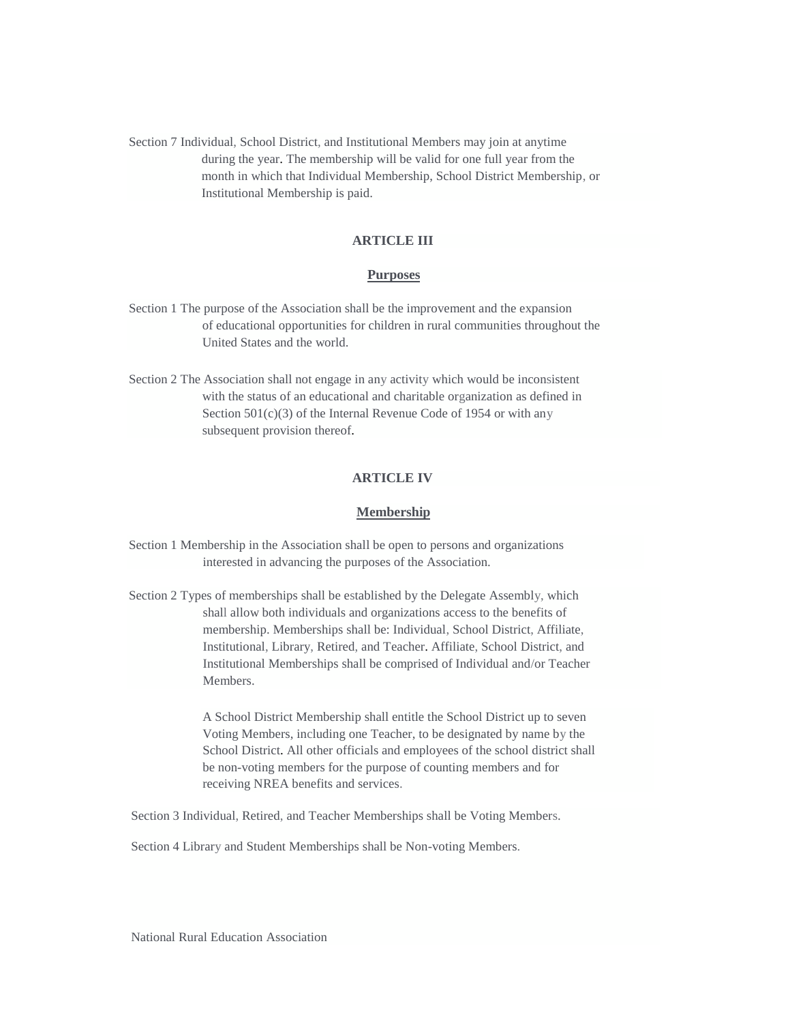Section 7 Individual, School District, and Institutional Members may join at anytime during the year. The membership will be valid for one full year from the month in which that Individual Membership, School District Membership, or Institutional Membership is paid.

### **ARTICLE III**

#### **Purposes**

- Section 1 The purpose of the Association shall be the improvement and the expansion of educational opportunities for children in rural communities throughout the United States and the world.
- Section 2 The Association shall not engage in any activity which would be inconsistent with the status of an educational and charitable organization as defined in Section  $501(c)(3)$  of the Internal Revenue Code of 1954 or with any subsequent provision thereof.

# **ARTICLE IV**

#### **Membership**

Section 1 Membership in the Association shall be open to persons and organizations interested in advancing the purposes of the Association.

Section 2 Types of memberships shall be established by the Delegate Assembly, which shall allow both individuals and organizations access to the benefits of membership. Memberships shall be: Individual, School District, Affiliate, Institutional, Library, Retired, and Teacher. Affiliate, School District, and Institutional Memberships shall be comprised of Individual and/or Teacher Members.

> A School District Membership shall entitle the School District up to seven Voting Members, including one Teacher, to be designated by name by the School District. All other officials and employees of the school district shall be non-voting members for the purpose of counting members and for receiving NREA benefits and services.

Section 3 Individual, Retired, and Teacher Memberships shall be Voting Members.

Section 4 Library and Student Memberships shall be Non-voting Members.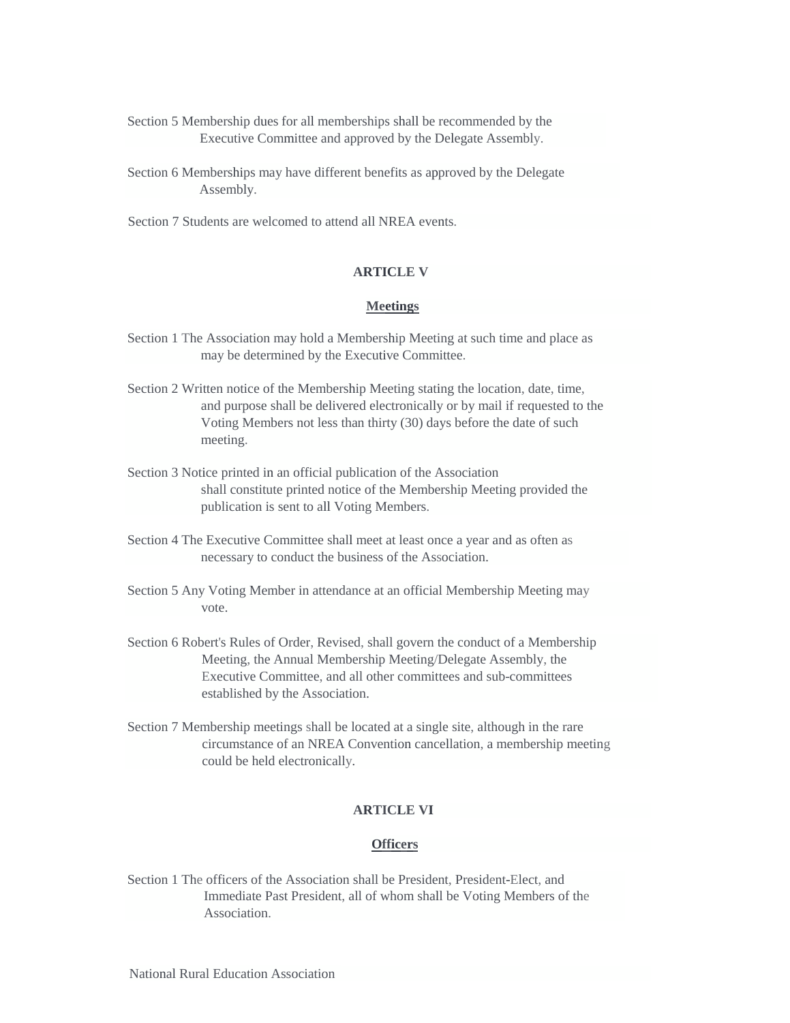- Section 5 Membership dues for all memberships shall be recommended by the Executive Committee and approved by the Delegate Assembly.
- Section 6 Memberships may have different benefits as approved by the Delegate Assembly.
- Section 7 Students are welcomed to attend all NREA events.

### **ARTICLE V**

#### **Meetings**

- Section 1 The Association may hold a Membership Meeting at such time and place as may be determined by the Executive Committee.
- Section 2 Written notice of the Membership Meeting stating the location, date, time, and purpose shall be delivered electronically or by mail if requested to the Voting Members not less than thirty (30) days before the date of such meeting.
- Section 3 Notice printed in an official publication of the Association shall constitute printed notice of the Membership Meeting provided the publication is sent to all Voting Members.
- Section 4 The Executive Committee shall meet at least once a year and as often as necessary to conduct the business of the Association.
- Section 5 Any Voting Member in attendance at an official Membership Meeting may vote.
- Section 6 Robert's Rules of Order, Revised, shall govern the conduct of a Membership Meeting, the Annual Membership Meeting/Delegate Assembly, the Executive Committee, and all other committees and sub-committees established by the Association.
- Section 7 Membership meetings shall be located at a single site, although in the rare circumstance of an NREA Convention cancellation, a membership meeting could be held electronically.

# **ARTICLE VI**

#### **Officers**

Section 1 The officers of the Association shall be President, President-Elect, and Immediate Past President, all of whom shall be Voting Members of the Association.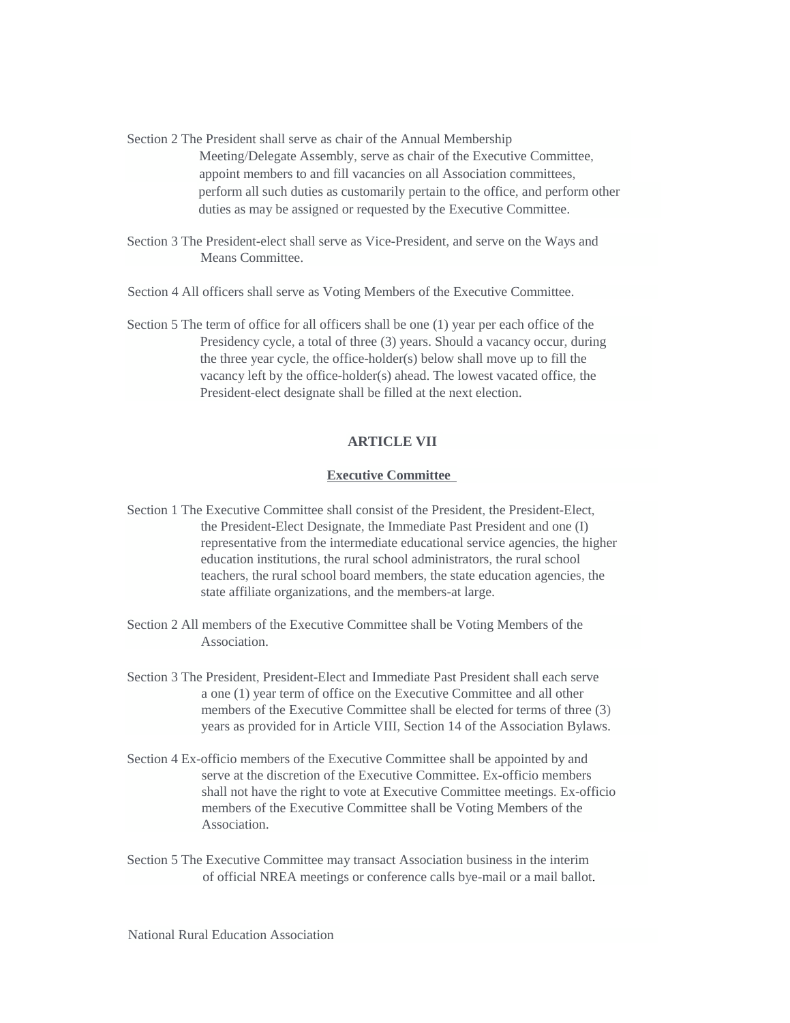Section 2 The President shall serve as chair of the Annual Membership Meeting/Delegate Assembly, serve as chair of the Executive Committee, appoint members to and fill vacancies on all Association committees, perform all such duties as customarily pertain to the office, and perform other duties as may be assigned or requested by the Executive Committee.

Section 3 The President-elect shall serve as Vice-President, and serve on the Ways and Means Committee.

Section 4 All officers shall serve as Voting Members of the Executive Committee.

Section 5 The term of office for all officers shall be one (1) year per each office of the Presidency cycle, a total of three (3) years. Should a vacancy occur, during the three year cycle, the office-holder(s) below shall move up to fill the vacancy left by the office-holder(s) ahead. The lowest vacated office, the President-elect designate shall be filled at the next election.

# **ARTICLE VII**

### **Executive Committee**

- Section 1 The Executive Committee shall consist of the President, the President-Elect, the President-Elect Designate, the Immediate Past President and one (I) representative from the intermediate educational service agencies, the higher education institutions, the rural school administrators, the rural school teachers, the rural school board members, the state education agencies, the state affiliate organizations, and the members-at large.
- Section 2 All members of the Executive Committee shall be Voting Members of the Association.
- Section 3 The President, President-Elect and Immediate Past President shall each serve a one (1) year term of office on the Executive Committee and all other members of the Executive Committee shall be elected for terms of three (3) years as provided for in Article VIII, Section 14 of the Association Bylaws.
- Section 4 Ex-officio members of the Executive Committee shall be appointed by and serve at the discretion of the Executive Committee. Ex-officio members shall not have the right to vote at Executive Committee meetings. Ex-officio members of the Executive Committee shall be Voting Members of the Association.
- Section 5 The Executive Committee may transact Association business in the interim of official NREA meetings or conference calls bye-mail or a mail ballot.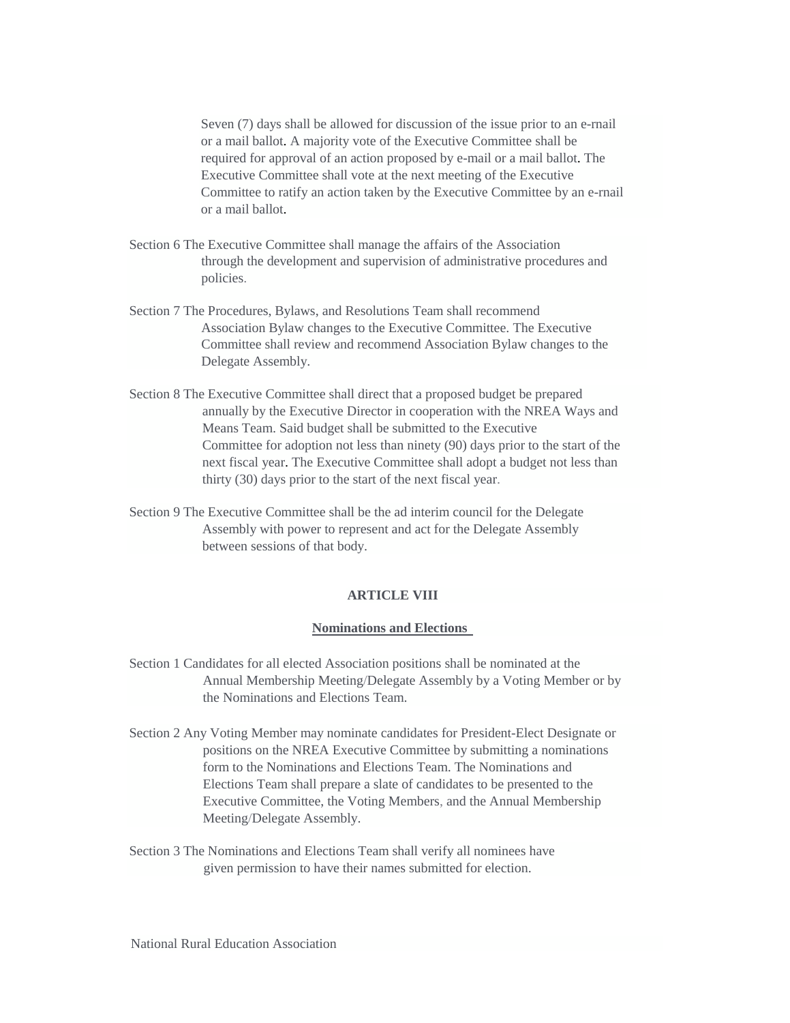Seven (7) days shall be allowed for discussion of the issue prior to an e-rnail or a mail ballot. A majority vote of the Executive Committee shall be required for approval of an action proposed by e-mail or a mail ballot. The Executive Committee shall vote at the next meeting of the Executive Committee to ratify an action taken by the Executive Committee by an e-rnail or a mail ballot.

- Section 6 The Executive Committee shall manage the affairs of the Association through the development and supervision of administrative procedures and policies.
- Section 7 The Procedures, Bylaws, and Resolutions Team shall recommend Association Bylaw changes to the Executive Committee. The Executive Committee shall review and recommend Association Bylaw changes to the Delegate Assembly.
- Section 8 The Executive Committee shall direct that a proposed budget be prepared annually by the Executive Director in cooperation with the NREA Ways and Means Team. Said budget shall be submitted to the Executive Committee for adoption not less than ninety (90) days prior to the start of the next fiscal year. The Executive Committee shall adopt a budget not less than thirty (30) days prior to the start of the next fiscal year.
- Section 9 The Executive Committee shall be the ad interim council for the Delegate Assembly with power to represent and act for the Delegate Assembly between sessions of that body.

# **ARTICLE VIII**

### **Nominations and Elections**

- Section 1 Candidates for all elected Association positions shall be nominated at the Annual Membership Meeting/Delegate Assembly by a Voting Member or by the Nominations and Elections Team.
- Section 2 Any Voting Member may nominate candidates for President-Elect Designate or positions on the NREA Executive Committee by submitting a nominations form to the Nominations and Elections Team. The Nominations and Elections Team shall prepare a slate of candidates to be presented to the Executive Committee, the Voting Members, and the Annual Membership Meeting/Delegate Assembly.
- Section 3 The Nominations and Elections Team shall verify all nominees have given permission to have their names submitted for election.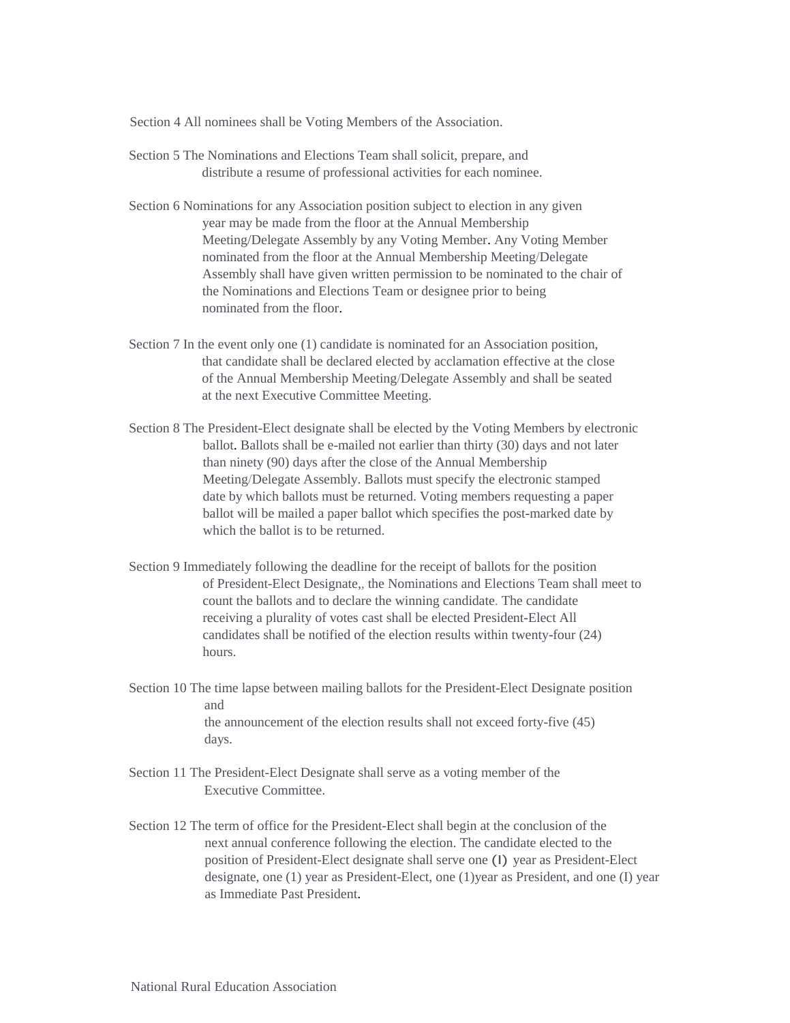Section 4 All nominees shall be Voting Members of the Association.

- Section 5 The Nominations and Elections Team shall solicit, prepare, and distribute a resume of professional activities for each nominee.
- Section 6 Nominations for any Association position subject to election in any given year may be made from the floor at the Annual Membership Meeting/Delegate Assembly by any Voting Member. Any Voting Member nominated from the floor at the Annual Membership Meeting/Delegate Assembly shall have given written permission to be nominated to the chair of the Nominations and Elections Team or designee prior to being nominated from the floor.
- Section 7 In the event only one (1) candidate is nominated for an Association position, that candidate shall be declared elected by acclamation effective at the close of the Annual Membership Meeting/Delegate Assembly and shall be seated at the next Executive Committee Meeting.
- Section 8 The President-Elect designate shall be elected by the Voting Members by electronic ballot. Ballots shall be e-mailed not earlier than thirty (30) days and not later than ninety (90) days after the close of the Annual Membership Meeting/Delegate Assembly. Ballots must specify the electronic stamped date by which ballots must be returned. Voting members requesting a paper ballot will be mailed a paper ballot which specifies the post-marked date by which the ballot is to be returned.
- Section 9 Immediately following the deadline for the receipt of ballots for the position of President-Elect Designate,, the Nominations and Elections Team shall meet to count the ballots and to declare the winning candidate. The candidate receiving a plurality of votes cast shall be elected President-Elect All candidates shall be notified of the election results within twenty-four (24) hours.
- Section 10 The time lapse between mailing ballots for the President-Elect Designate position and the announcement of the election results shall not exceed forty-five (45) days.
- Section 11 The President-Elect Designate shall serve as a voting member of the Executive Committee.
- Section 12 The term of office for the President-Elect shall begin at the conclusion of the next annual conference following the election. The candidate elected to the position of President-Elect designate shall serve one (I) year as President-Elect designate, one (1) year as President-Elect, one (1)year as President, and one (I) year as Immediate Past President.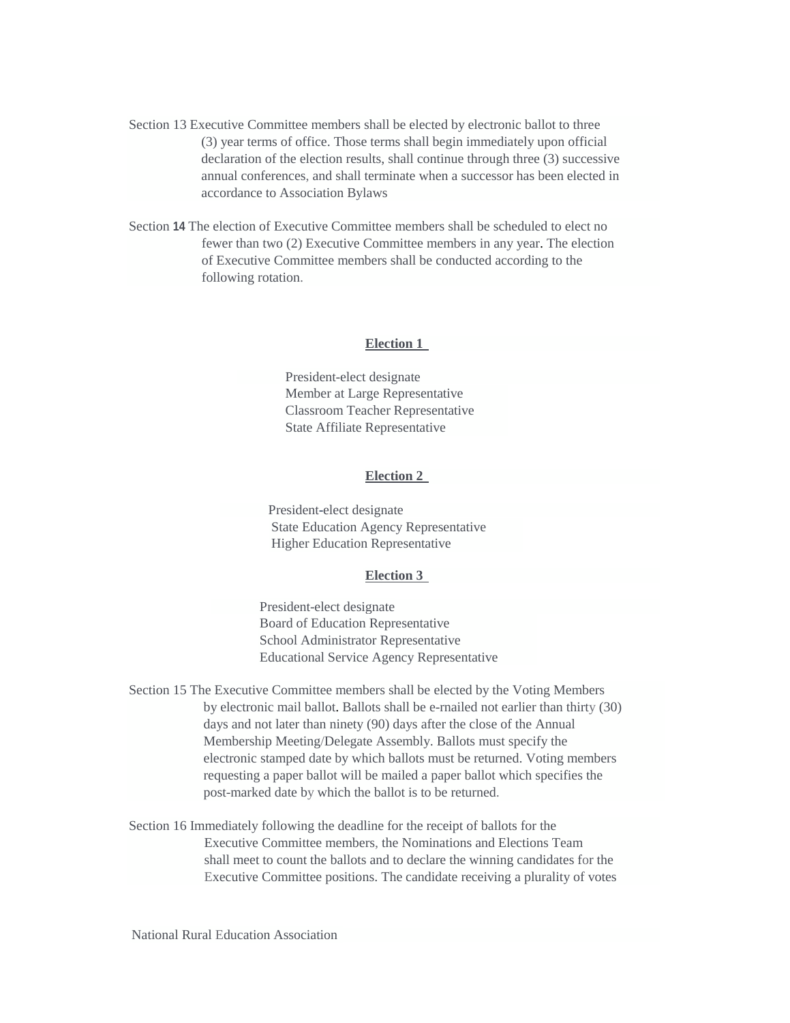Section 13 Executive Committee members shall be elected by electronic ballot to three (3) year terms of office. Those terms shall begin immediately upon official declaration of the election results, shall continue through three (3) successive annual conferences, and shall terminate when a successor has been elected in accordance to Association Bylaws

Section **14** The election of Executive Committee members shall be scheduled to elect no fewer than two (2) Executive Committee members in any year. The election of Executive Committee members shall be conducted according to the following rotation.

#### **Election 1**

President-elect designate Member at Large Representative Classroom Teacher Representative State Affiliate Representative

#### **Election 2**

President-elect designate State Education Agency Representative Higher Education Representative

#### **Election 3**

President-elect designate Board of Education Representative School Administrator Representative Educational Service Agency Representative

Section 15 The Executive Committee members shall be elected by the Voting Members by electronic mail ballot. Ballots shall be e-rnailed not earlier than thirty (30) days and not later than ninety (90) days after the close of the Annual Membership Meeting/Delegate Assembly. Ballots must specify the electronic stamped date by which ballots must be returned. Voting members requesting a paper ballot will be mailed a paper ballot which specifies the post-marked date by which the ballot is to be returned.

Section 16 Immediately following the deadline for the receipt of ballots for the Executive Committee members, the Nominations and Elections Team shall meet to count the ballots and to declare the winning candidates for the Executive Committee positions. The candidate receiving a plurality of votes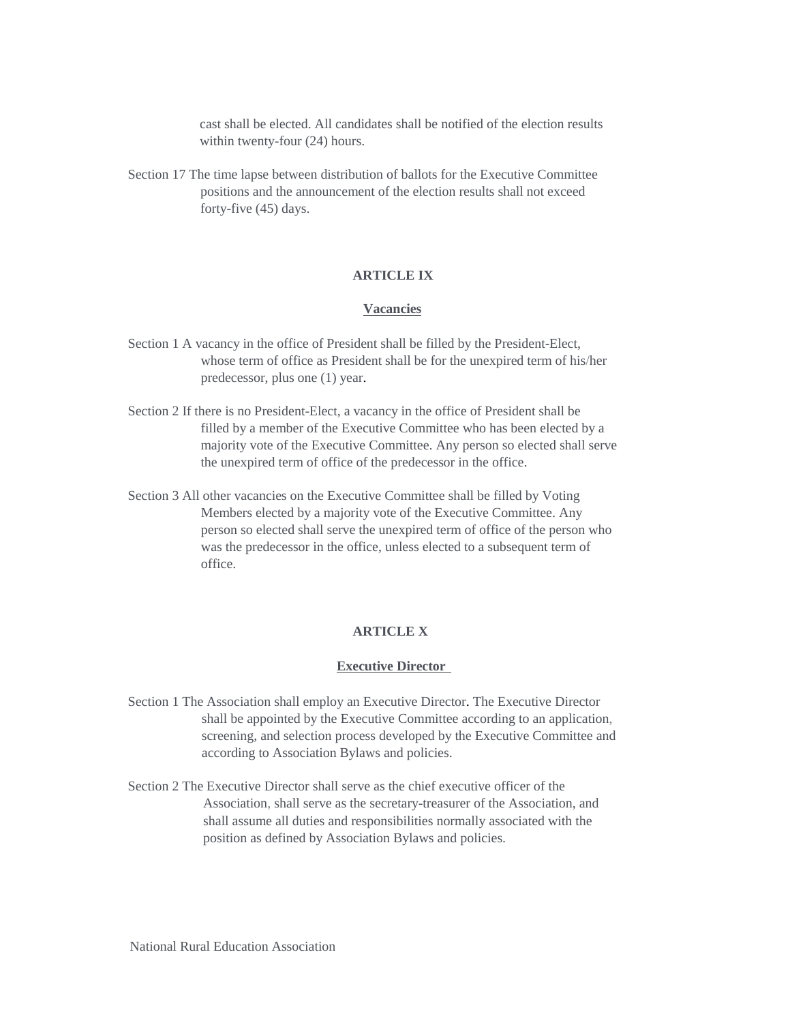cast shall be elected. All candidates shall be notified of the election results within twenty-four (24) hours.

Section 17 The time lapse between distribution of ballots for the Executive Committee positions and the announcement of the election results shall not exceed forty-five (45) days.

# **ARTICLE IX**

### **Vacancies**

- Section 1 A vacancy in the office of President shall be filled by the President-Elect, whose term of office as President shall be for the unexpired term of his/her predecessor, plus one (1) year.
- Section 2 If there is no President-Elect, a vacancy in the office of President shall be filled by a member of the Executive Committee who has been elected by a majority vote of the Executive Committee. Any person so elected shall serve the unexpired term of office of the predecessor in the office.
- Section 3 All other vacancies on the Executive Committee shall be filled by Voting Members elected by a majority vote of the Executive Committee. Any person so elected shall serve the unexpired term of office of the person who was the predecessor in the office, unless elected to a subsequent term of office.

### **ARTICLE X**

### **Executive Director**

- Section 1 The Association shall employ an Executive Director. The Executive Director shall be appointed by the Executive Committee according to an application, screening, and selection process developed by the Executive Committee and according to Association Bylaws and policies.
- Section 2 The Executive Director shall serve as the chief executive officer of the Association, shall serve as the secretary-treasurer of the Association, and shall assume all duties and responsibilities normally associated with the position as defined by Association Bylaws and policies.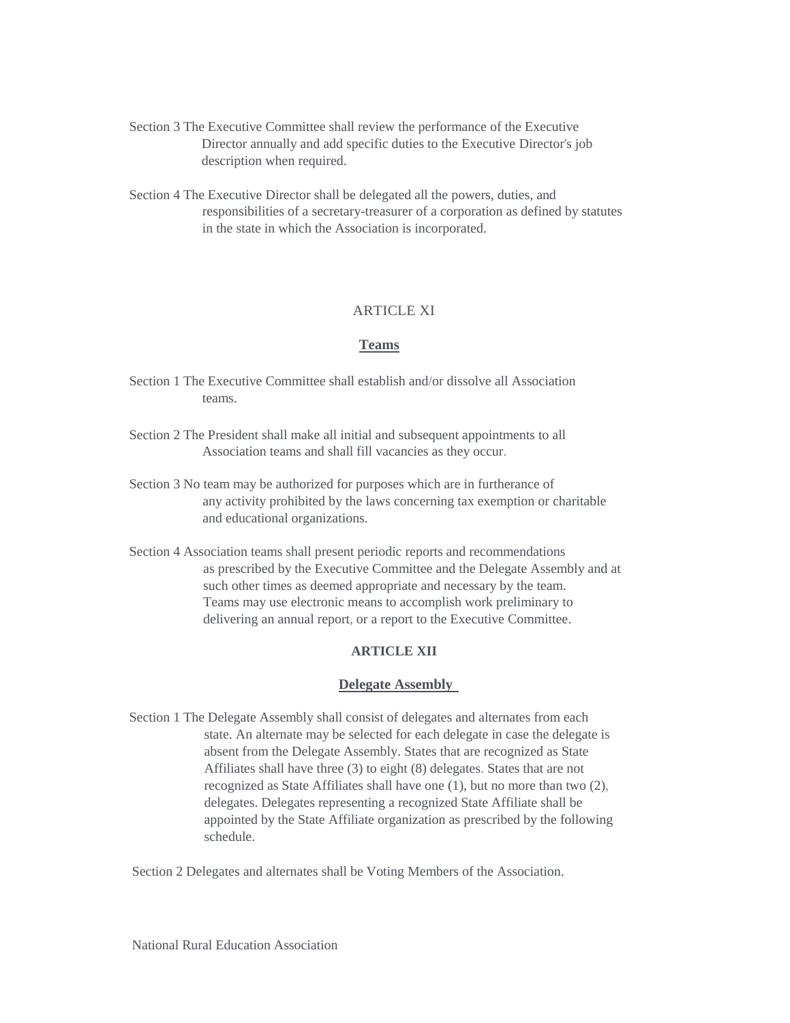Section 3 The Executive Committee shall review the performance of the Executive Director annually and add specific duties to the Executive Director's job description when required.

Section 4 The Executive Director shall be delegated all the powers, duties, and responsibilities of a secretary-treasurer of a corporation as defined by statutes in the state in which the Association is incorporated.

# **ARTICLE XI**

### **Teams**

- Section 1 The Executive Committee shall establish and/or dissolve all Association teams.
- Section 2 The President shall make all initial and subsequent appointments to all Association teams and shall fill vacancies as they occur.
- Section 3 No team may be authorized for purposes which are in furtherance of any activity prohibited by the laws concerning tax exemption or charitable and educational organizations.
- Section 4 Association teams shall present periodic reports and recommendations as prescribed by the Executive Committee and the Delegate Assembly and at such other times as deemed appropriate and necessary by the team. Teams may use electronic means to accomplish work preliminary to delivering an annual report, or a report to the Executive Committee.

# **ARTICLE XII**

#### **Delegate Assembly**

Section 1 The Delegate Assembly shall consist of delegates and alternates from each state. An alternate may be selected for each delegate in case the delegate is absent from the Delegate Assembly. States that are recognized as State Affiliates shall have three (3) to eight (8) delegates. States that are not recognized as State Affiliates shall have one (1), but no more than two (2), delegates. Delegates representing a recognized State Affiliate shall be appointed by the State Affiliate organization as prescribed by the following schedule.

Section 2 Delegates and alternates shall be Voting Members of the Association.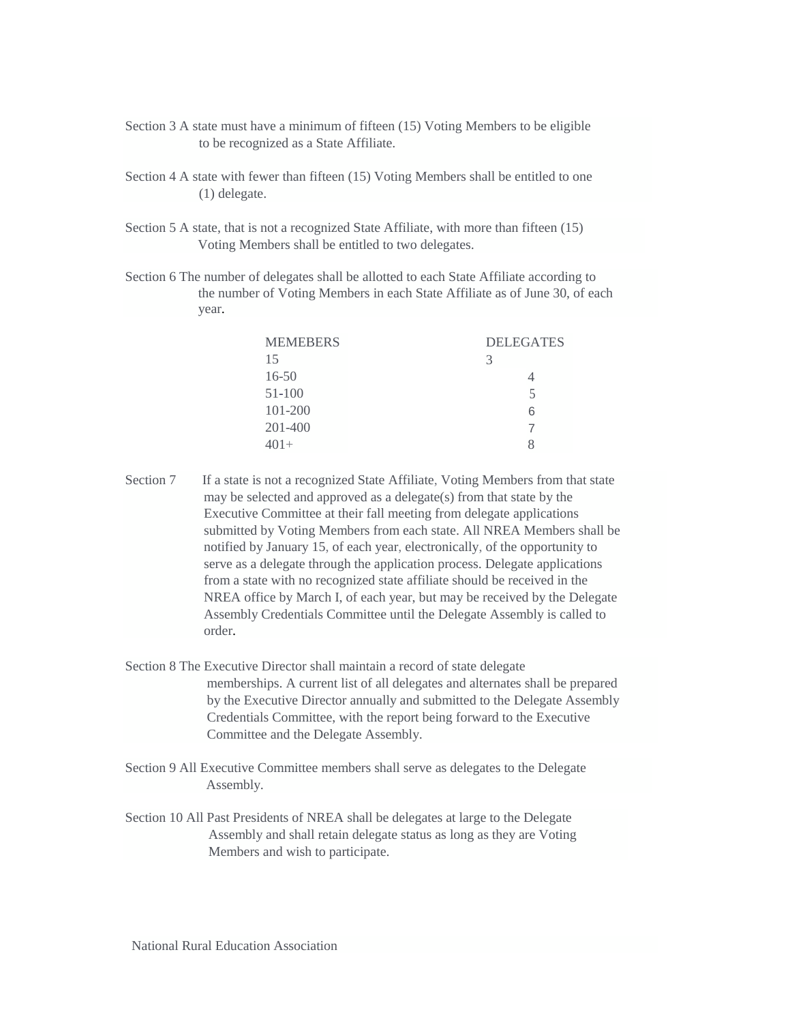- Section 3 A state must have a minimum of fifteen (15) Voting Members to be eligible to be recognized as a State Affiliate.
- Section 4 A state with fewer than fifteen (15) Voting Members shall be entitled to one (1) delegate.
- Section 5 A state, that is not a recognized State Affiliate, with more than fifteen (15) Voting Members shall be entitled to two delegates.
- Section 6 The number of delegates shall be allotted to each State Affiliate according to the number of Voting Members in each State Affiliate as of June 30, of each year.

| <b>MEMEBERS</b> | <b>DELEGATES</b> |
|-----------------|------------------|
| 15              | 3                |
| $16 - 50$       |                  |
| 51-100          | 5                |
| 101-200         | 6                |
| 201-400         |                  |
| $401+$          |                  |

- Section 7 If a state is not a recognized State Affiliate, Voting Members from that state may be selected and approved as a delegate(s) from that state by the Executive Committee at their fall meeting from delegate applications submitted by Voting Members from each state. All NREA Members shall be notified by January 15, of each year, electronically, of the opportunity to serve as a delegate through the application process. Delegate applications from a state with no recognized state affiliate should be received in the NREA office by March I, of each year, but may be received by the Delegate Assembly Credentials Committee until the Delegate Assembly is called to order.
- Section 8 The Executive Director shall maintain a record of state delegate memberships. A current list of all delegates and alternates shall be prepared by the Executive Director annually and submitted to the Delegate Assembly Credentials Committee, with the report being forward to the Executive Committee and the Delegate Assembly.
- Section 9 All Executive Committee members shall serve as delegates to the Delegate Assembly.
- Section 10 All Past Presidents of NREA shall be delegates at large to the Delegate Assembly and shall retain delegate status as long as they are Voting Members and wish to participate.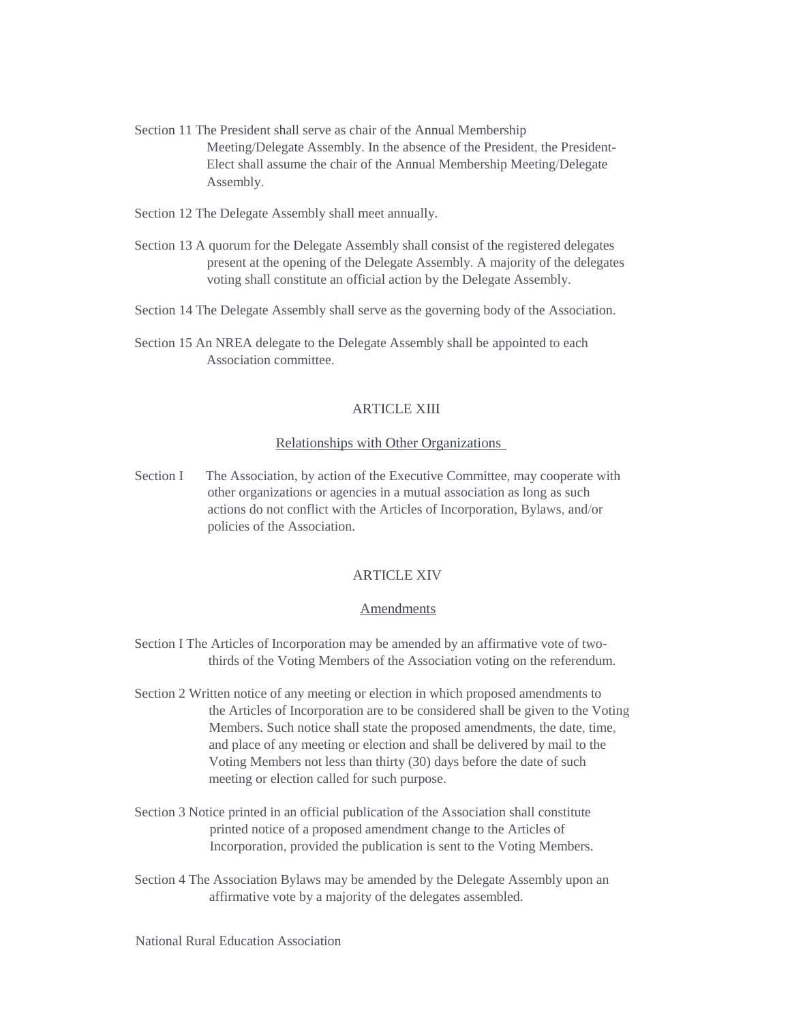- Section 11 The President shall serve as chair of the Annual Membership Meeting/Delegate Assembly. In the absence of the President, the President-Elect shall assume the chair of the Annual Membership Meeting/Delegate Assembly.
- Section 12 The Delegate Assembly shall meet annually.
- Section 13 A quorum for the Delegate Assembly shall consist of the registered delegates present at the opening of the Delegate Assembly. A majority of the delegates voting shall constitute an official action by the Delegate Assembly.
- Section 14 The Delegate Assembly shall serve as the governing body of the Association.
- Section 15 An NREA delegate to the Delegate Assembly shall be appointed to each Association committee.

# ARTICLE XIII

## Relationships with Other Organizations

Section I The Association, by action of the Executive Committee, may cooperate with other organizations or agencies in a mutual association as long as such actions do not conflict with the Articles of Incorporation, Bylaws, and/or policies of the Association.

# ARTICLE XIV

## Amendments

- Section I The Articles of Incorporation may be amended by an affirmative vote of twothirds of the Voting Members of the Association voting on the referendum.
- Section 2 Written notice of any meeting or election in which proposed amendments to the Articles of Incorporation are to be considered shall be given to the Voting Members. Such notice shall state the proposed amendments, the date, time, and place of any meeting or election and shall be delivered by mail to the Voting Members not less than thirty (30) days before the date of such meeting or election called for such purpose.
- Section 3 Notice printed in an official publication of the Association shall constitute printed notice of a proposed amendment change to the Articles of Incorporation, provided the publication is sent to the Voting Members.
- Section 4 The Association Bylaws may be amended by the Delegate Assembly upon an affirmative vote by a majority of the delegates assembled.